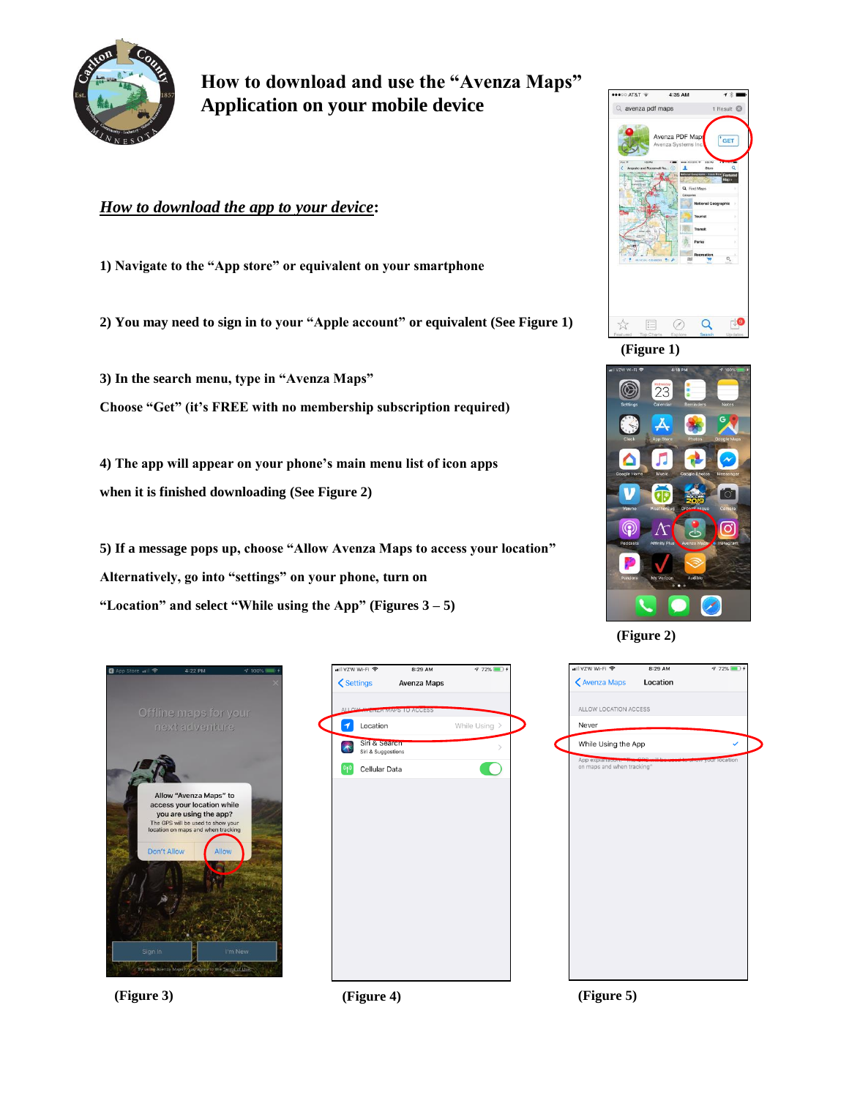

**How to download and use the "Avenza Maps" Application on your mobile device**

## *How to download the app to your device***:**

**1) Navigate to the "App store" or equivalent on your smartphone**

**2) You may need to sign in to your "Apple account" or equivalent (See Figure 1)**

**3) In the search menu, type in "Avenza Maps" Choose "Get" (it's FREE with no membership subscription required)**

**4) The app will appear on your phone's main menu list of icon apps when it is finished downloading (See Figure 2)**

**5) If a message pops up, choose "Allow Avenza Maps to access your location" Alternatively, go into "settings" on your phone, turn on "Location" and select "While using the App" (Figures 3 – 5)**





**(Figure 2)**



**(Figure 3) (Figure 4) (Figure 5)**



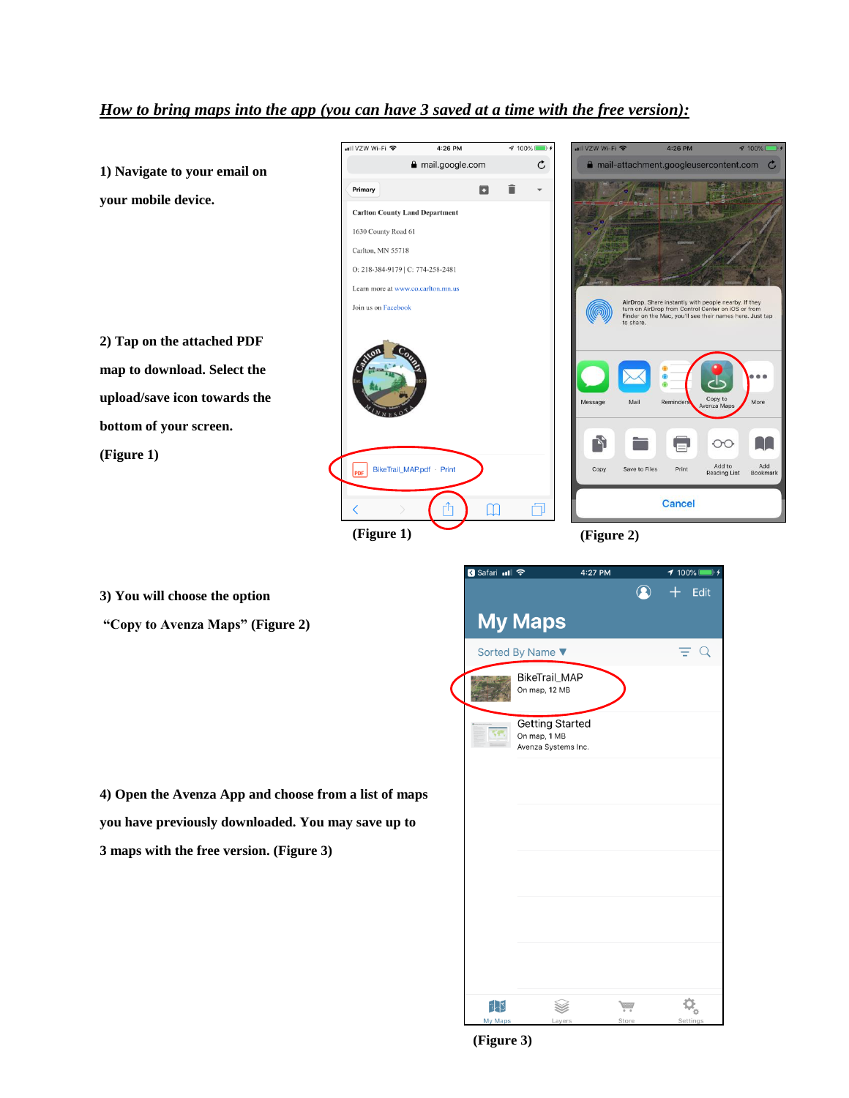## *How to bring maps into the app (you can have 3 saved at a time with the free version):*



**3) You will choose the option**

**"Copy to Avenza Maps" (Figure 2)**

**4) Open the Avenza App and choose from a list of maps you have previously downloaded. You may save up to 3 maps with the free version. (Figure 3)**



**(Figure 3)**